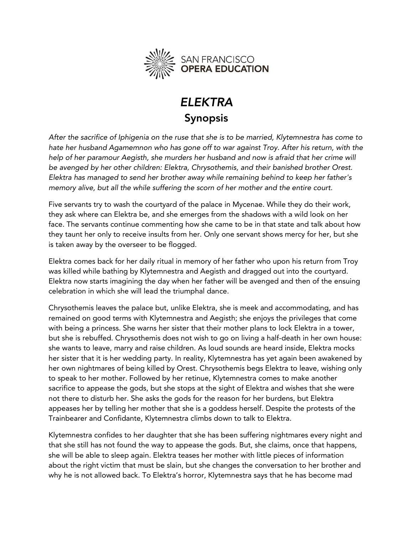

## **ELEKTRA Synopsis Synopsis**

*After the sacrifice of Iphigenia on the ruse that she is to be married, Klytemnestra has come to*  help of her paramour Aegisth, she murders her husband and now is afraid that her crime will be avenged by her other children: Elektra, Chrysothemis, and their banished brother Orest. *be avenged by her other children: Elektra, Chrysothemis, and their banished brother Orest. Elektra has managed to send her brother away while remaining behind to keep her father's memory alive, but all the while suffering the scorn of her mother and the entire court.*

Five servants try to wash the courtyard of the palace in Mycenae. While they do their work, they ask where can Elektra be, and she emerges from the shadows with a wild look on her face. The servants continue commenting how she came to be in that state and talk about how they taunt her only to receive insults from her. Only one servant shows mercy for her, but she  $\frac{1}{\sqrt{1-\frac{1}{\sqrt{1-\frac{1}{\sqrt{1-\frac{1}{\sqrt{1-\frac{1}{\sqrt{1-\frac{1}{\sqrt{1-\frac{1}{\sqrt{1-\frac{1}{\sqrt{1-\frac{1}{\sqrt{1-\frac{1}{\sqrt{1-\frac{1}{\sqrt{1-\frac{1}{\sqrt{1-\frac{1}{\sqrt{1-\frac{1}{\sqrt{1-\frac{1}{\sqrt{1-\frac{1}{\sqrt{1-\frac{1}{\sqrt{1-\frac{1}{\sqrt{1-\frac{1}{\sqrt{1-\frac{1}{\sqrt{1-\frac{1}{\sqrt{1-\frac{1}{\sqrt{1-\frac{1}{\sqrt{1-\frac{1}{\sqrt{1-\frac{1$ is taken away by the overseer to be flogged.

Elektra comes back for her daily ritual in memory of her father who upon his return from Troy<br>was killed while bathing by Klytemnestra and Aegisth and dragged out into the courtyard. Elektra now starts imagining the day when her father will be avenged and then of the ensuing celebration in which she will lead the triumphal dance. celebration in which she will lead the triumphal dance.

Chrysothemis leaves the palace but, unlike Elektra, she is meek and accommodating, and has with being a princess. She warns her sister that their mother plans to lock Elektra in a tower, but she is rebuffed. Chrysothemis does not wish to go on living a half-death in her own house: she wants to leave, marry and raise children. As loud sounds are heard inside, Elektra mocks her sister that it is her wedding party. In reality, Klytemnestra has yet again been awakened by her own nightmares of being killed by Orest. Chrysothemis begs Elektra to leave, wishing only to speak to her mother. Followed by her retinue, Klytemnestra comes to make another sacrifice to appease the gods, but she stops at the sight of Elektra and wishes that she were not there to disturb her. She asks the gods for the reason for her burdens, but Elektra appeases her by telling her mother that she is a goddess herself. Despite the protests of the  $\frac{1}{2}$  and  $\frac{1}{2}$  is a god despite that she is a god for the protests of protests of the protests of the protests of the protests of the protests of the protests of the protests of the protests of the protests of th Trainbearer and Confidante, Klytemnestra climbs down to talk to Elektra.

Klytemnestra confides to her daughter that she has been suffering nightmares every night and<br>that she still has not found the way to appease the gods. But, she claims, once that happens, she will be able to sleep again. Elektra teases her mother with little pieces of information about the right victim that must be slain, but she changes the conversation to her brother and about the right victim that must be seen that must be seen that he converses the conversation to her brother a  $\mathcal{L}$  he is not allowed back. To Elektrating horror, Klytemathethe made made  $\mathcal{L}$